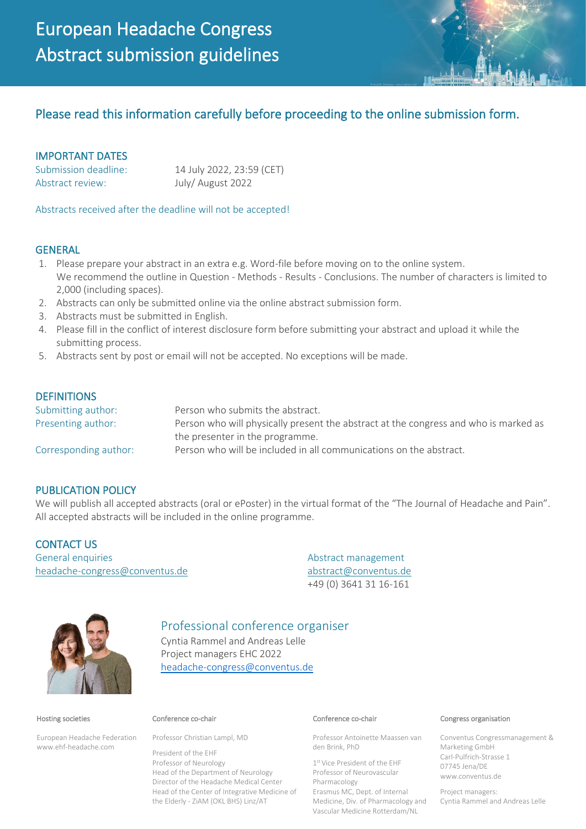# Please read this information carefully before proceeding to the online submission form.

## IMPORTANT DATES

Abstract review: July/ August 2022

Submission deadline: 14 July 2022, 23:59 (CET)

Abstracts received after the deadline will not be accepted!

### **GENERAL**

- 1. Please prepare your abstract in an extra e.g. Word-file before moving on to the online system. We recommend the outline in Question - Methods - Results - Conclusions. The number of characters is limited to 2,000 (including spaces).
- 2. Abstracts can only be submitted online via the online abstract submission form.
- 3. Abstracts must be submitted in English.
- 4. Please fill in the conflict of interest disclosure form before submitting your abstract and upload it while the submitting process.
- 5. Abstracts sent by post or email will not be accepted. No exceptions will be made.

### **DEFINITIONS**

| Submitting author:    | Person who submits the abstract.                                                     |
|-----------------------|--------------------------------------------------------------------------------------|
| Presenting author:    | Person who will physically present the abstract at the congress and who is marked as |
|                       | the presenter in the programme.                                                      |
| Corresponding author: | Person who will be included in all communications on the abstract.                   |

### PUBLICATION POLICY

We will publish all accepted abstracts (oral or ePoster) in the virtual format of the "The Journal of Headache and Pain". All accepted abstracts will be included in the online programme.

CONTACT US General enquiries Abstract management [headache-congress@conventus.de](mailto:headache-congress@conventus.de) [abstract@conventus.de](mailto:abstract@conventus.de)

+49 (0) 3641 31 16-161



# Professional conference organiser

Cyntia Rammel and Andreas Lelle Project managers EHC 2022 [headache-congress@conventus.de](mailto:headache-congress@conventus.de)

#### Hosting societies

European Headache Federation www.ehf-headache.com

Professor Christian Lampl, MD

President of the EHF Professor of Neurology Head of the Department of Neurology Director of the Headache Medical Center Head of the Center of Integrative Medicine of the Elderly - ZiAM (OKL BHS) Linz/AT

Professor Antoinette Maassen van den Brink, PhD

1 st Vice President of the EHF Professor of Neurovascular Pharmacology Erasmus MC, Dept. of Internal Medicine, Div. of Pharmacology and Vascular Medicine Rotterdam/NL

#### Conference co-chair Conference co-chair Congress organisation

Conventus Congressmanagement & Marketing GmbH Carl-Pulfrich-Strasse 1 07745 Jena/DE www.conventus.de

Project managers: Cyntia Rammel and Andreas Lelle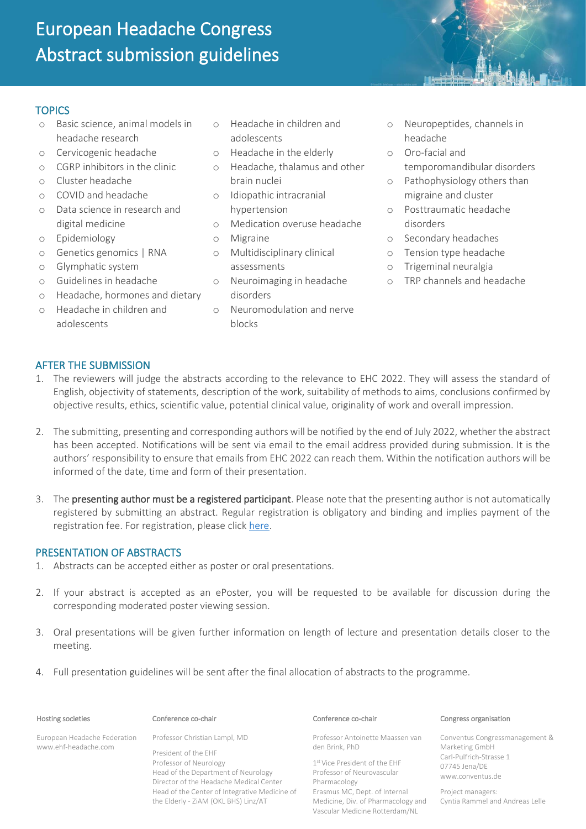# European Headache Congress Abstract submission guidelines

# **TOPICS**

- o Basic science, animal models in headache research
- o Cervicogenic headache
- o CGRP inhibitors in the clinic
- o Cluster headache
- o COVID and headache
- o Data science in research and digital medicine
- o Epidemiology
- o Genetics genomics | RNA
- o Glymphatic system
- o Guidelines in headache
- o Headache, hormones and dietary
- o Headache in children and adolescents
- o Headache in children and adolescents
- o Headache in the elderly
- o Headache, thalamus and other brain nuclei
- o Idiopathic intracranial hypertension
- o Medication overuse headache
- o Migraine
- o Multidisciplinary clinical assessments
- o Neuroimaging in headache disorders
- o Neuromodulation and nerve blocks
- o Neuropeptides, channels in headache
- o Oro-facial and temporomandibular disorders
- o Pathophysiology others than migraine and cluster
- o Posttraumatic headache disorders
- o Secondary headaches
- o Tension type headache
- o Trigeminal neuralgia
- o TRP channels and headache

# AFTER THE SUBMISSION

- 1. The reviewers will judge the abstracts according to the relevance to EHC 2022. They will assess the standard of English, objectivity of statements, description of the work, suitability of methods to aims, conclusions confirmed by objective results, ethics, scientific value, potential clinical value, originality of work and overall impression.
- 2. The submitting, presenting and corresponding authors will be notified by the end of July 2022, whether the abstract has been accepted. Notifications will be sent via email to the email address provided during submission. It is the authors' responsibility to ensure that emails from EHC 2022 can reach them. Within the notification authors will be informed of the date, time and form of their presentation.
- 3. The presenting author must be a registered participant. Please note that the presenting author is not automatically registered by submitting an abstract. Regular registration is obligatory and binding and implies payment of the registration fee. For registration, please click [here.](https://www.headache-congress.org/registration)

### PRESENTATION OF ABSTRACTS

- 1. Abstracts can be accepted either as poster or oral presentations.
- 2. If your abstract is accepted as an ePoster, you will be requested to be available for discussion during the corresponding moderated poster viewing session.
- 3. Oral presentations will be given further information on length of lecture and presentation details closer to the meeting.
- 4. Full presentation guidelines will be sent after the final allocation of abstracts to the programme.

### Hosting societies

European Headache Federation www.ehf-headache.com

### Conference co-chair Conference co-chair Congress organisation

Professor Christian Lampl, MD

President of the EHF Professor of Neurology Head of the Department of Neurology Director of the Headache Medical Center Head of the Center of Integrative Medicine of the Elderly - ZiAM (OKL BHS) Linz/AT

Professor Antoinette Maassen van den Brink, PhD

1 st Vice President of the EHF Professor of Neurovascular Pharmacology Erasmus MC, Dept. of Internal Medicine, Div. of Pharmacology and Vascular Medicine Rotterdam/NL

Conventus Congressmanagement & Marketing GmbH Carl-Pulfrich-Strasse 1 07745 Jena/DE www.conventus.de

Project managers: Cyntia Rammel and Andreas Lelle